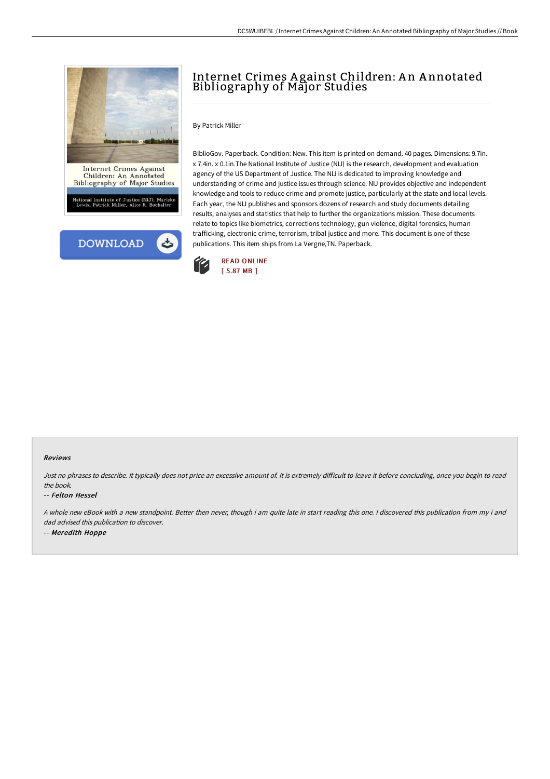



# Internet Crimes A gainst Children: A n A nnotated Bibliography of Major Studies

### By Patrick Miller

BiblioGov. Paperback. Condition: New. This item is printed on demand. 40 pages. Dimensions: 9.7in. x 7.4in. x 0.1in.The National Institute of Justice (NIJ) is the research, development and evaluation agency of the US Department of Justice. The NIJ is dedicated to improving knowledge and understanding of crime and justice issues through science. NIJ provides objective and independent knowledge and tools to reduce crime and promote justice, particularly at the state and local levels. Each year, the NIJ publishes and sponsors dozens of research and study documents detailing results, analyses and statistics that help to further the organizations mission. These documents relate to topics like biometrics, corrections technology, gun violence, digital forensics, human trafficking, electronic crime, terrorism, tribal justice and more. This document is one of these publications. This item ships from La Vergne,TN. Paperback.



#### Reviews

Just no phrases to describe. It typically does not price an excessive amount of. It is extremely difficult to leave it before concluding, once you begin to read the book.

#### -- Felton Hessel

<sup>A</sup> whole new eBook with <sup>a</sup> new standpoint. Better then never, though i am quite late in start reading this one. <sup>I</sup> discovered this publication from my i and dad advised this publication to discover.

-- Meredith Hoppe